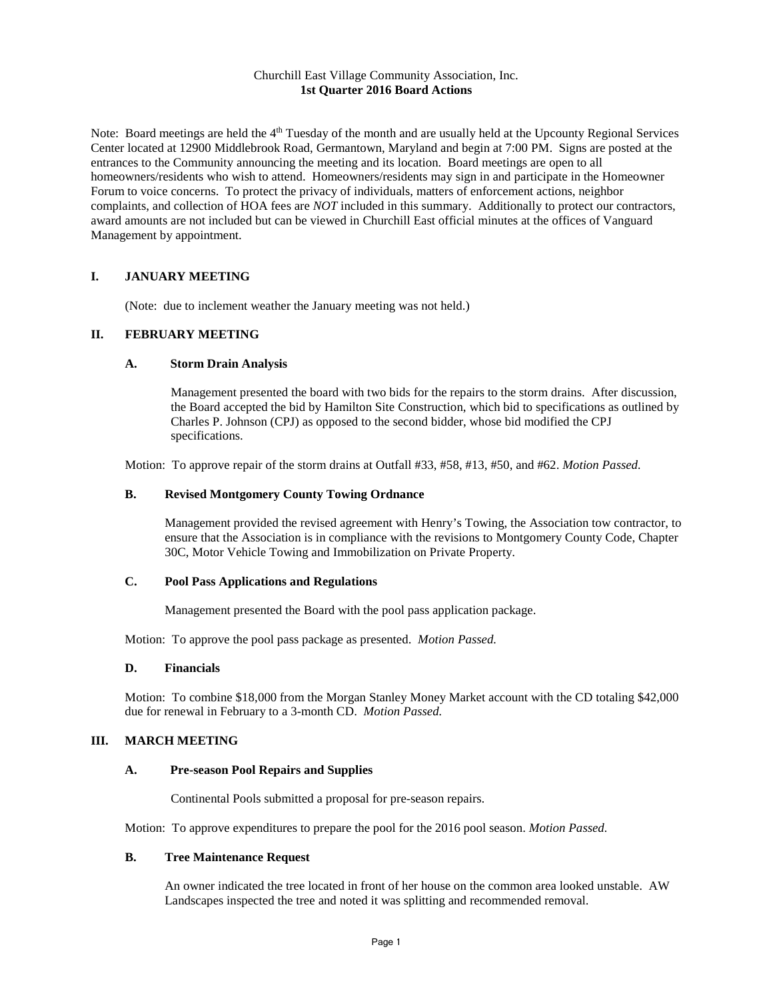## Churchill East Village Community Association, Inc. **1st Quarter 2016 Board Actions**

Note: Board meetings are held the 4<sup>th</sup> Tuesday of the month and are usually held at the Upcounty Regional Services Center located at 12900 Middlebrook Road, Germantown, Maryland and begin at 7:00 PM. Signs are posted at the entrances to the Community announcing the meeting and its location. Board meetings are open to all homeowners/residents who wish to attend. Homeowners/residents may sign in and participate in the Homeowner Forum to voice concerns. To protect the privacy of individuals, matters of enforcement actions, neighbor complaints, and collection of HOA fees are *NOT* included in this summary. Additionally to protect our contractors, award amounts are not included but can be viewed in Churchill East official minutes at the offices of Vanguard Management by appointment.

## **I. JANUARY MEETING**

(Note: due to inclement weather the January meeting was not held.)

# **II. FEBRUARY MEETING**

## **A. Storm Drain Analysis**

Management presented the board with two bids for the repairs to the storm drains. After discussion, the Board accepted the bid by Hamilton Site Construction, which bid to specifications as outlined by Charles P. Johnson (CPJ) as opposed to the second bidder, whose bid modified the CPJ specifications.

Motion: To approve repair of the storm drains at Outfall #33, #58, #13, #50, and #62. *Motion Passed.*

## **B. Revised Montgomery County Towing Ordnance**

Management provided the revised agreement with Henry's Towing, the Association tow contractor, to ensure that the Association is in compliance with the revisions to Montgomery County Code, Chapter 30C, Motor Vehicle Towing and Immobilization on Private Property.

#### **C. Pool Pass Applications and Regulations**

Management presented the Board with the pool pass application package.

Motion: To approve the pool pass package as presented. *Motion Passed.*

#### **D. Financials**

Motion: To combine \$18,000 from the Morgan Stanley Money Market account with the CD totaling \$42,000 due for renewal in February to a 3-month CD. *Motion Passed.*

## **III. MARCH MEETING**

## **A. Pre-season Pool Repairs and Supplies**

Continental Pools submitted a proposal for pre-season repairs.

Motion: To approve expenditures to prepare the pool for the 2016 pool season. *Motion Passed.*

## **B. Tree Maintenance Request**

An owner indicated the tree located in front of her house on the common area looked unstable. AW Landscapes inspected the tree and noted it was splitting and recommended removal.